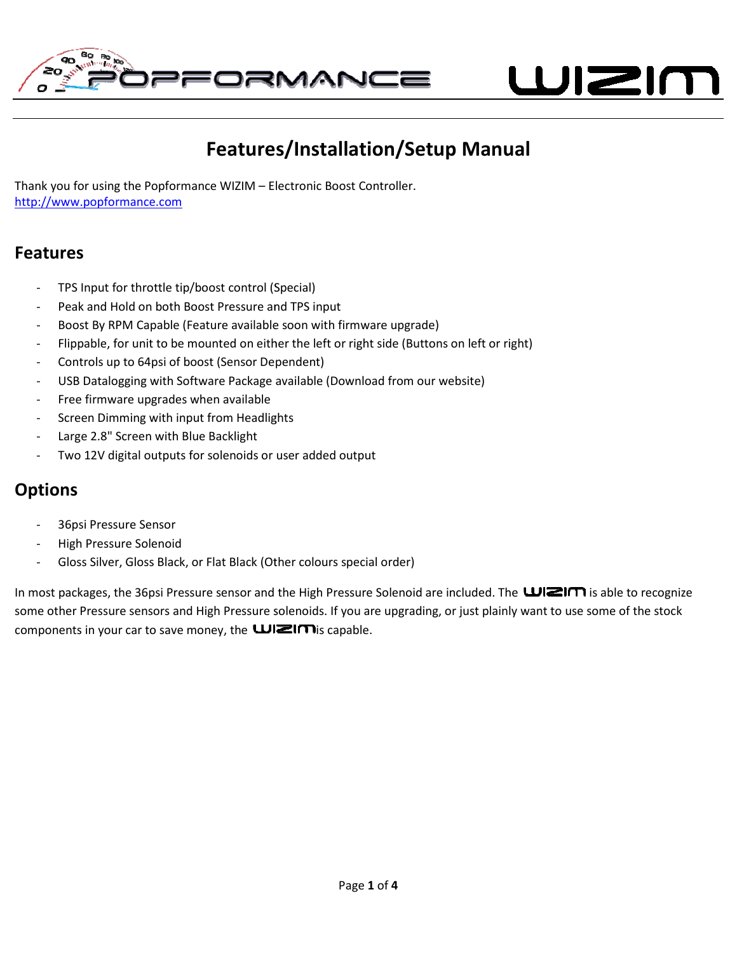

WIZIN

# Features/Installation/Setup Manual Features/Installation/Setup Manual

Thank you for using the Popformance WIZIM – Electronic Boost Controller Controller. http://www.popformance.com

### Features

- TPS Input for throttle tip/boost control (Special)
- Peak and Hold on both Boost Pressure and TPS input
- Boost By RPM Capable (Feature available soon with firmware upgrade)
- TPS Input for throttle tip/boost control (Special)<br>- Peak and Hold on both Boost Pressure and TPS input<br>- Boost By RPM Capable (Feature available soon with firmware upgrade)<br>- Flippable, for unit to be mounted on either
- Controls up to 64psi of boost (Sensor Dependent)
- USB Datalogging with Software Package available (Download from our website)
- Free firmware upgrades when available
- Screen Dimming with input from Headlights
- Large 2.8" Screen with Blue Backlight
- Two 12V digital outputs for solenoids or user added output

## **Options**

- 36psi Pressure Sensor
- High Pressure Solenoid
- Gloss Silver, Gloss Black, or Flat Black (Other colours special order) ming with input from Headlights<br>Screen with Blue Backlight<br>gital outputs for solenoids or user added output<br>ure Sensor<br>Ire Solenoid<br>, Gloss Black, or Flat Black (Other colours special order)

In most packages, the 36psi Pressure sensor and the High Pressure Solenoid are included. The **WEIM** is able to recognize some other Pressure sensors and High Pressure solenoids. If you are upgrading, or just plainly want to use some of the stock components in your car to save money, the **WEIM** is capable. most packages, the 36psi Pressure sensor and the High Pressure Solenoid are included. The **WIZIM** is able to recogniz<br>me other Pressure sensors and High Pressure solenoids. If you are upgrading, or just plainly want to use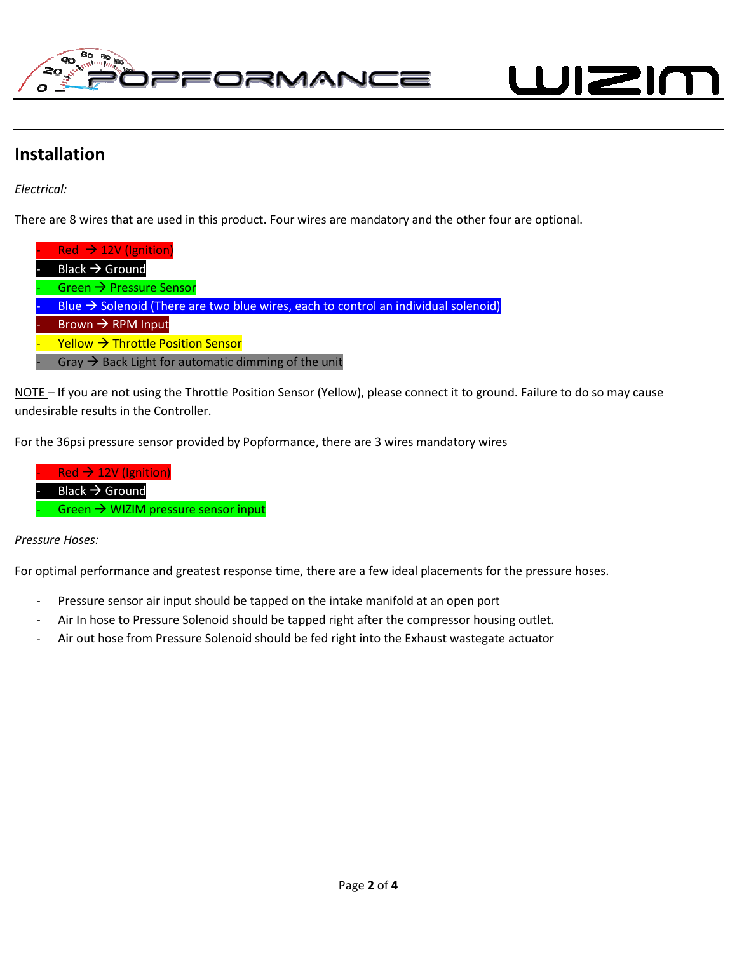

WIZIN

### Installation

Electrical:

There are 8 wires that are used in this product. Four wires are mandatory and the other four are optional.

| Red $\rightarrow$ 12V (Ignition)                                                               |
|------------------------------------------------------------------------------------------------|
| Black $\rightarrow$ Ground                                                                     |
| Green $\rightarrow$ Pressure Sensor                                                            |
| Blue $\rightarrow$ Solenoid (There are two blue wires, each to control an individual solenoid) |
| Brown $\rightarrow$ RPM Input                                                                  |
| Yellow $\rightarrow$ Throttle Position Sensor                                                  |
| Gray $\rightarrow$ Back Light for automatic dimming of the unit                                |

NOTE – If you are not using the Throttle Position Sensor (Yellow), please connect it to ground. Failure to do so may cause undesirable results in the Controller. Fack Light for automatic dimming of the unit<br>
NOTE – If you are not using the Throttle Position Sensor (Yellow), please connect it to ground. Failure to do so in<br>
undesirable results in the Controller.<br>
For the 36psi pres

For the 36psi pressure sensor provided by Popformance, there are 3 wires mandatory wires



Pressure Hoses:

For optimal performance and greatest response time, there are a few ideal placements for the pressure hoses.

- Pressure sensor air input should be tapped on the intake manifold at an open port
- 
- Air In hose to Pressure Solenoid should be tapped right after the compressor housing outlet.<br>- Air out hose from Pressure Solenoid should be fed right into the Exhaust wastegate actuator - Air out hose from Pressure Solenoid should be fed right into the Exhaust wastegate actuator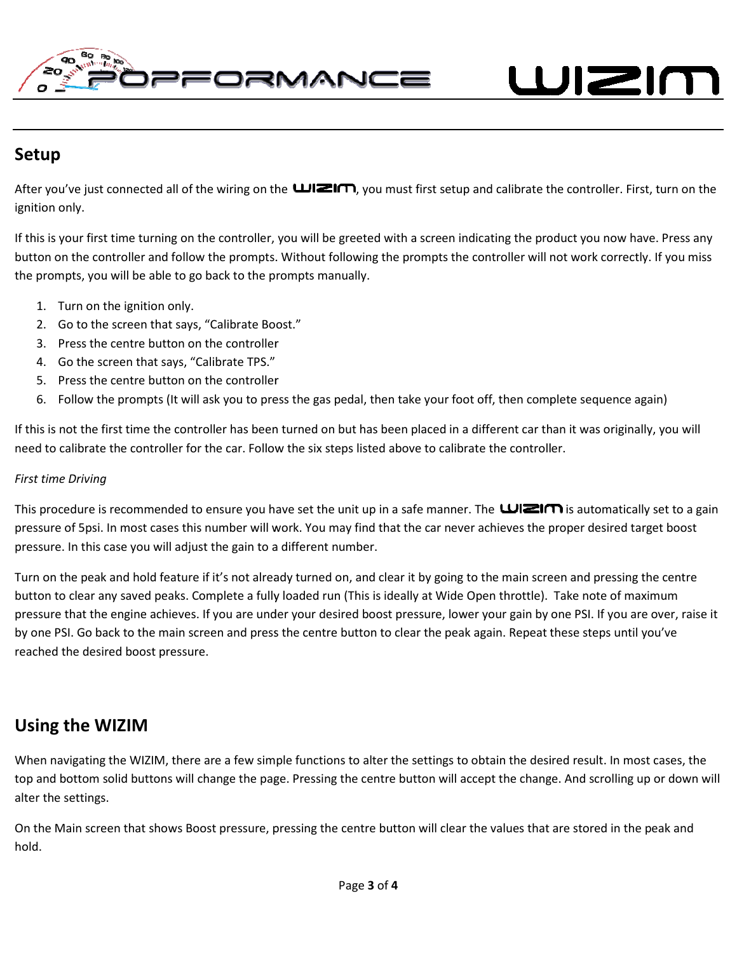WIZIN

# Setup

After you've just connected all of the wiring on the **WEIM**, you must first setup and calibrate the controller. First, turn on the ignition only.

 $\overline{a}$ 

If this is your first time turning on the controller, you will be greeted with a screen indicating the product you now have. Press any button on the controller and follow the prompts. Without following the prompts the controller will not work correctly. If you miss<br>the prompts, you will be able to go back to the prompts manually. the prompts, you will be able to go back to the prompts

- 1. Turn on the ignition only.
- 2. Go to the screen that says, "Calibrate Boost."
- 3. Press the centre button on the controller
- 4. Go the screen that says, "Calibrate TPS."
- 5. Press the centre button on the controller
- 2. Go to the screen that says, "Calibrate Boost."<br>
3. Press the centre button on the controller<br>
4. Go the screen that says, "Calibrate TPS."<br>
5. Press the centre button on the controller<br>
6. Follow the prompts (It will as

If this is not the first time the controller has been turned on but has been placed in a different car than it was originally, you will need to calibrate the controller for the car. Follow the six steps listed above to calibrate the controller.

#### First time Driving

This procedure is recommended to ensure you have set the unit up in a safe manner. The **WEIM** is automatically set to a gain pressure of 5psi. In most cases this number will work. You may find that the car never achieves the proper desired target boost pressure. In this case you will adjust the gain to a different number.

Turn on the peak and hold feature if it's not already turned on, and clear it by going to the main screen and pressing the centre button to clear any saved peaks. Complete a fully loaded run (This is ideally at Wide Open throttle). Take note of maximum pressure that the engine achieves. If you are under your desired boost pressure, lower your gain by one PSI. If you a are over, raise it by one PSI. Go back to the main screen and press the centre button to clear the peak again. Repeat these steps until you've reached the desired boost pressure. pressure. In this case you will adjust the gain to a different number.<br>Turn on the peak and hold feature if it's not already turned on, and clear it by going to the main screen a<br>button to clear any saved peaks. Complete a

# Using the WIZIM

When navigating the WIZIM, there are a few simple functions to alter the settings to obtain the desired result. In most cases, the top and bottom solid buttons will change the page. Pressing the centre button will accept the change. And scrolling up or down will alter the settings.

On the Main screen that shows Boost pressure, pressing the centre button will clear the values that are stored in the peak and hold.